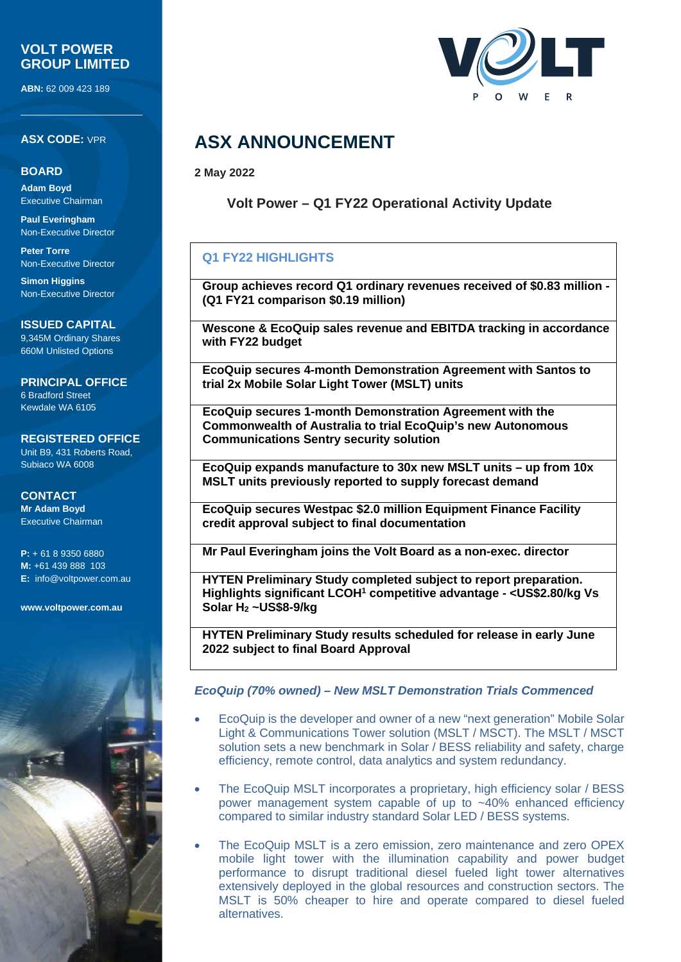### **VOLT POWER GROUP LIMITED**

**ABN:** 62 009 423 189

#### **ASX CODE:** VPR

#### **BOARD**

**Adam Boyd** Executive Chairman

**Paul Everingham** Non-Executive Director

**Peter Torre** Non-Executive Director

**Simon Higgins** Non-Executive Director

**ISSUED CAPITAL** 9,345M Ordinary Shares 660M Unlisted Options

**PRINCIPAL OFFICE** 6 Bradford Street Kewdale WA 6105

**REGISTERED OFFICE** Unit B9, 431 Roberts Road, Subiaco WA 6008

**CONTACT Mr Adam Boyd** Executive Chairman

**P:** + 61 8 9350 6880 **M:** +61 439 888 103 **E:** [info@voltpower.com.au](mailto:info@voltpower.com.au)

**[www.voltpower.com.au](http://www.voltpower.com.au/)**



### **ASX ANNOUNCEMENT**

**2 May 2022**

**Volt Power – Q1 FY22 Operational Activity Update**

### **Q1 FY22 HIGHLIGHTS**

**Group achieves record Q1 ordinary revenues received of \$0.83 million - (Q1 FY21 comparison \$0.19 million)**

**Wescone & EcoQuip sales revenue and EBITDA tracking in accordance with FY22 budget**

**EcoQuip secures 4-month Demonstration Agreement with Santos to trial 2x Mobile Solar Light Tower (MSLT) units**

**EcoQuip secures 1-month Demonstration Agreement with the Commonwealth of Australia to trial EcoQuip's new Autonomous Communications Sentry security solution**

**EcoQuip expands manufacture to 30x new MSLT units – up from 10x MSLT units previously reported to supply forecast demand**

**EcoQuip secures Westpac \$2.0 million Equipment Finance Facility credit approval subject to final documentation**

**Mr Paul Everingham joins the Volt Board as a non-exec. director**

**HYTEN Preliminary Study completed subject to report preparation. Highlights significant LCOH1 competitive advantage - <US\$2.80/kg Vs Solar H2 ~US\$8-9/kg**

**HYTEN Preliminary Study results scheduled for release in early June 2022 subject to final Board Approval**

#### *EcoQuip (70% owned) – New MSLT Demonstration Trials Commenced*

- EcoQuip is the developer and owner of a new "next generation" Mobile Solar Light & Communications Tower solution (MSLT / MSCT). The MSLT / MSCT solution sets a new benchmark in Solar / BESS reliability and safety, charge efficiency, remote control, data analytics and system redundancy.
- The EcoQuip MSLT incorporates a proprietary, high efficiency solar / BESS power management system capable of up to ~40% enhanced efficiency compared to similar industry standard Solar LED / BESS systems.
- The EcoQuip MSLT is a zero emission, zero maintenance and zero OPEX mobile light tower with the illumination capability and power budget performance to disrupt traditional diesel fueled light tower alternatives extensively deployed in the global resources and construction sectors. The MSLT is 50% cheaper to hire and operate compared to diesel fueled alternatives.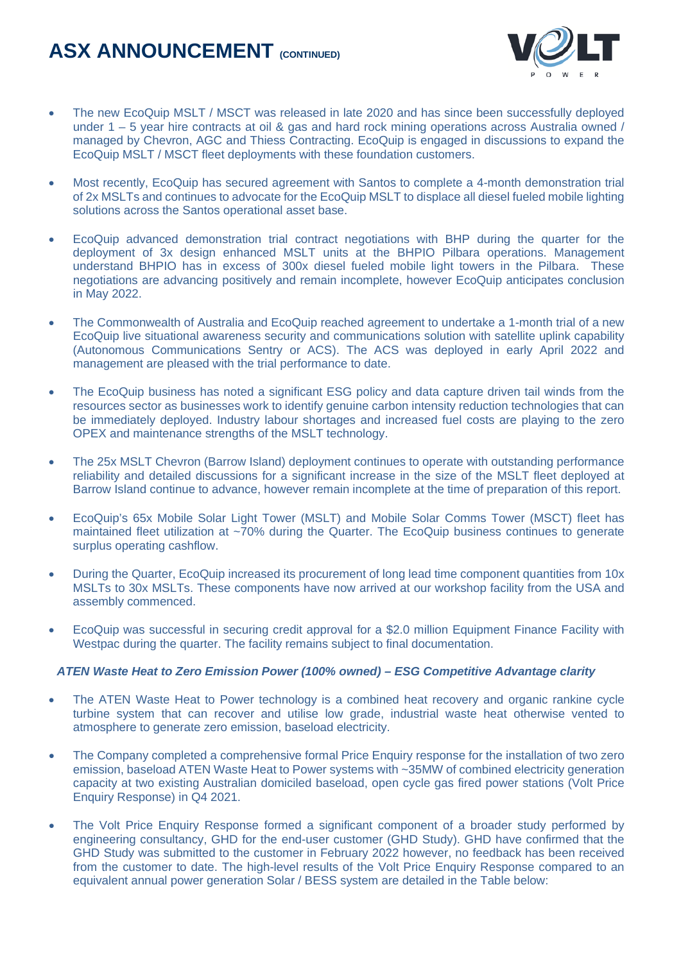

- The new EcoQuip MSLT / MSCT was released in late 2020 and has since been successfully deployed under 1 – 5 year hire contracts at oil & gas and hard rock mining operations across Australia owned / managed by Chevron, AGC and Thiess Contracting. EcoQuip is engaged in discussions to expand the EcoQuip MSLT / MSCT fleet deployments with these foundation customers.
- Most recently, EcoQuip has secured agreement with Santos to complete a 4-month demonstration trial of 2x MSLTs and continues to advocate for the EcoQuip MSLT to displace all diesel fueled mobile lighting solutions across the Santos operational asset base.
- EcoQuip advanced demonstration trial contract negotiations with BHP during the quarter for the deployment of 3x design enhanced MSLT units at the BHPIO Pilbara operations. Management understand BHPIO has in excess of 300x diesel fueled mobile light towers in the Pilbara. These negotiations are advancing positively and remain incomplete, however EcoQuip anticipates conclusion in May 2022.
- The Commonwealth of Australia and EcoQuip reached agreement to undertake a 1-month trial of a new EcoQuip live situational awareness security and communications solution with satellite uplink capability (Autonomous Communications Sentry or ACS). The ACS was deployed in early April 2022 and management are pleased with the trial performance to date.
- The EcoQuip business has noted a significant ESG policy and data capture driven tail winds from the resources sector as businesses work to identify genuine carbon intensity reduction technologies that can be immediately deployed. Industry labour shortages and increased fuel costs are playing to the zero OPEX and maintenance strengths of the MSLT technology.
- The 25x MSLT Chevron (Barrow Island) deployment continues to operate with outstanding performance reliability and detailed discussions for a significant increase in the size of the MSLT fleet deployed at Barrow Island continue to advance, however remain incomplete at the time of preparation of this report.
- EcoQuip's 65x Mobile Solar Light Tower (MSLT) and Mobile Solar Comms Tower (MSCT) fleet has maintained fleet utilization at ~70% during the Quarter. The EcoQuip business continues to generate surplus operating cashflow.
- During the Quarter, EcoQuip increased its procurement of long lead time component quantities from 10x MSLTs to 30x MSLTs. These components have now arrived at our workshop facility from the USA and assembly commenced.
- EcoQuip was successful in securing credit approval for a \$2.0 million Equipment Finance Facility with Westpac during the quarter. The facility remains subject to final documentation.

#### *ATEN Waste Heat to Zero Emission Power (100% owned) – ESG Competitive Advantage clarity*

- The ATEN Waste Heat to Power technology is a combined heat recovery and organic rankine cycle turbine system that can recover and utilise low grade, industrial waste heat otherwise vented to atmosphere to generate zero emission, baseload electricity.
- The Company completed a comprehensive formal Price Enquiry response for the installation of two zero emission, baseload ATEN Waste Heat to Power systems with ~35MW of combined electricity generation capacity at two existing Australian domiciled baseload, open cycle gas fired power stations (Volt Price Enquiry Response) in Q4 2021.
- The Volt Price Enquiry Response formed a significant component of a broader study performed by engineering consultancy, GHD for the end-user customer (GHD Study). GHD have confirmed that the GHD Study was submitted to the customer in February 2022 however, no feedback has been received from the customer to date. The high-level results of the Volt Price Enquiry Response compared to an equivalent annual power generation Solar / BESS system are detailed in the Table below: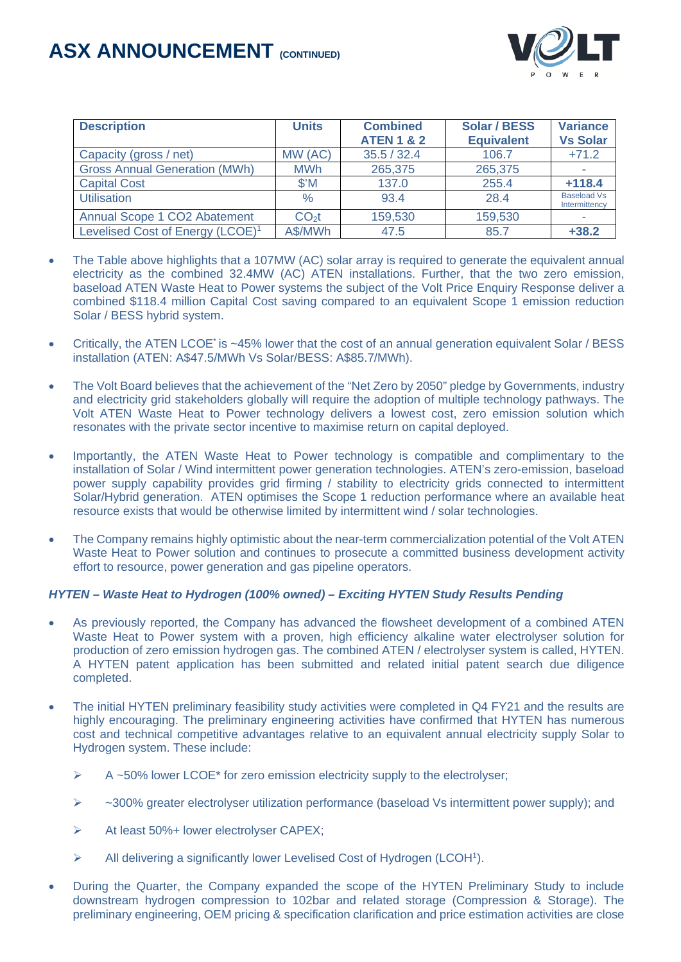

| <b>Description</b>                           | <b>Units</b>   | <b>Combined</b><br><b>ATEN 1 &amp; 2</b> | <b>Solar / BESS</b><br><b>Equivalent</b> | <b>Variance</b><br><b>Vs Solar</b>  |
|----------------------------------------------|----------------|------------------------------------------|------------------------------------------|-------------------------------------|
| Capacity (gross / net)                       | MW (AC)        | 35.5 / 32.4                              | 106.7                                    | $+71.2$                             |
| <b>Gross Annual Generation (MWh)</b>         | <b>MWh</b>     | 265,375                                  | 265,375                                  |                                     |
| <b>Capital Cost</b>                          | $$^{\prime}$ M | 137.0                                    | 255.4                                    | $+118.4$                            |
| <b>Utilisation</b>                           | $\%$           | 93.4                                     | 28.4                                     | <b>Baseload Vs</b><br>Intermittency |
| Annual Scope 1 CO2 Abatement                 | $CO2$ t        | 159,530                                  | 159,530                                  |                                     |
| Levelised Cost of Energy (LCOE) <sup>1</sup> | A\$/MWh        | 47.5                                     | 85.7                                     | $+38.2$                             |

- The Table above highlights that a 107MW (AC) solar array is required to generate the equivalent annual electricity as the combined 32.4MW (AC) ATEN installations. Further, that the two zero emission, baseload ATEN Waste Heat to Power systems the subject of the Volt Price Enquiry Response deliver a combined \$118.4 million Capital Cost saving compared to an equivalent Scope 1 emission reduction Solar / BESS hybrid system.
- Critically, the ATEN LCOE\* is ~45% lower that the cost of an annual generation equivalent Solar / BESS installation (ATEN: A\$47.5/MWh Vs Solar/BESS: A\$85.7/MWh).
- The Volt Board believes that the achievement of the "Net Zero by 2050" pledge by Governments, industry and electricity grid stakeholders globally will require the adoption of multiple technology pathways. The Volt ATEN Waste Heat to Power technology delivers a lowest cost, zero emission solution which resonates with the private sector incentive to maximise return on capital deployed.
- Importantly, the ATEN Waste Heat to Power technology is compatible and complimentary to the installation of Solar / Wind intermittent power generation technologies. ATEN's zero-emission, baseload power supply capability provides grid firming / stability to electricity grids connected to intermittent Solar/Hybrid generation. ATEN optimises the Scope 1 reduction performance where an available heat resource exists that would be otherwise limited by intermittent wind / solar technologies.
- The Company remains highly optimistic about the near-term commercialization potential of the Volt ATEN Waste Heat to Power solution and continues to prosecute a committed business development activity effort to resource, power generation and gas pipeline operators.

#### *HYTEN – Waste Heat to Hydrogen (100% owned) – Exciting HYTEN Study Results Pending*

- As previously reported, the Company has advanced the flowsheet development of a combined ATEN Waste Heat to Power system with a proven, high efficiency alkaline water electrolyser solution for production of zero emission hydrogen gas. The combined ATEN / electrolyser system is called, HYTEN. A HYTEN patent application has been submitted and related initial patent search due diligence completed.
- The initial HYTEN preliminary feasibility study activities were completed in Q4 FY21 and the results are highly encouraging. The preliminary engineering activities have confirmed that HYTEN has numerous cost and technical competitive advantages relative to an equivalent annual electricity supply Solar to Hydrogen system. These include:
	- $\triangleright$  A ~50% lower LCOE\* for zero emission electricity supply to the electrolyser;
	- $\triangleright$  ~300% greater electrolyser utilization performance (baseload Vs intermittent power supply); and
	- At least 50%+ lower electrolyser CAPEX;
	- $\triangleright$  All delivering a significantly lower Levelised Cost of Hydrogen (LCOH<sup>1</sup>).
- During the Quarter, the Company expanded the scope of the HYTEN Preliminary Study to include downstream hydrogen compression to 102bar and related storage (Compression & Storage). The preliminary engineering, OEM pricing & specification clarification and price estimation activities are close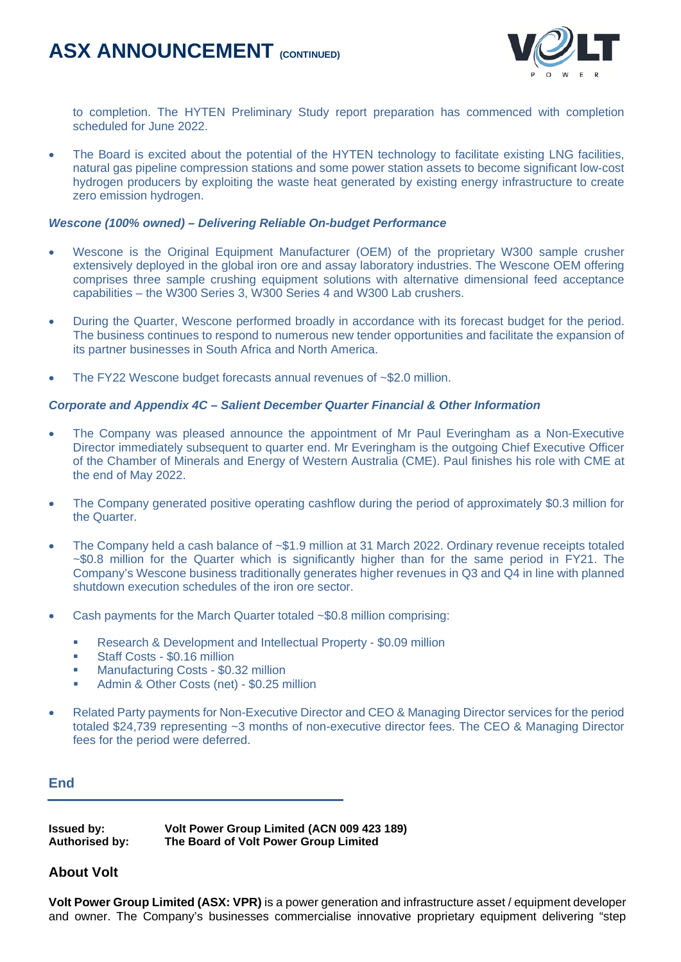

to completion. The HYTEN Preliminary Study report preparation has commenced with completion scheduled for June 2022.

• The Board is excited about the potential of the HYTEN technology to facilitate existing LNG facilities, natural gas pipeline compression stations and some power station assets to become significant low-cost hydrogen producers by exploiting the waste heat generated by existing energy infrastructure to create zero emission hydrogen.

#### *Wescone (100% owned) – Delivering Reliable On-budget Performance*

- Wescone is the Original Equipment Manufacturer (OEM) of the proprietary W300 sample crusher extensively deployed in the global iron ore and assay laboratory industries. The Wescone OEM offering comprises three sample crushing equipment solutions with alternative dimensional feed acceptance capabilities – the W300 Series 3, W300 Series 4 and W300 Lab crushers.
- During the Quarter, Wescone performed broadly in accordance with its forecast budget for the period. The business continues to respond to numerous new tender opportunities and facilitate the expansion of its partner businesses in South Africa and North America.
- The FY22 Wescone budget forecasts annual revenues of ~\$2.0 million.

#### *Corporate and Appendix 4C – Salient December Quarter Financial & Other Information*

- The Company was pleased announce the appointment of Mr Paul Everingham as a Non-Executive Director immediately subsequent to quarter end. Mr Everingham is the outgoing Chief Executive Officer of the Chamber of Minerals and Energy of Western Australia (CME). Paul finishes his role with CME at the end of May 2022.
- The Company generated positive operating cashflow during the period of approximately \$0.3 million for the Quarter.
- The Company held a cash balance of ~\$1.9 million at 31 March 2022. Ordinary revenue receipts totaled ~\$0.8 million for the Quarter which is significantly higher than for the same period in FY21. The Company's Wescone business traditionally generates higher revenues in Q3 and Q4 in line with planned shutdown execution schedules of the iron ore sector.
- Cash payments for the March Quarter totaled  $\sim$ \$0.8 million comprising:
	- **Research & Development and Intellectual Property \$0.09 million**
	- **Staff Costs \$0.16 million**
	- Manufacturing Costs \$0.32 million
	- Admin & Other Costs (net) \$0.25 million
- Related Party payments for Non-Executive Director and CEO & Managing Director services for the period totaled \$24,739 representing ~3 months of non-executive director fees. The CEO & Managing Director fees for the period were deferred.

**End**

**Issued by: Volt Power Group Limited (ACN 009 423 189) Authorised by: The Board of Volt Power Group Limited**

#### **About Volt**

**Volt Power Group Limited (ASX: VPR)** is a power generation and infrastructure asset / equipment developer and owner. The Company's businesses commercialise innovative proprietary equipment delivering "step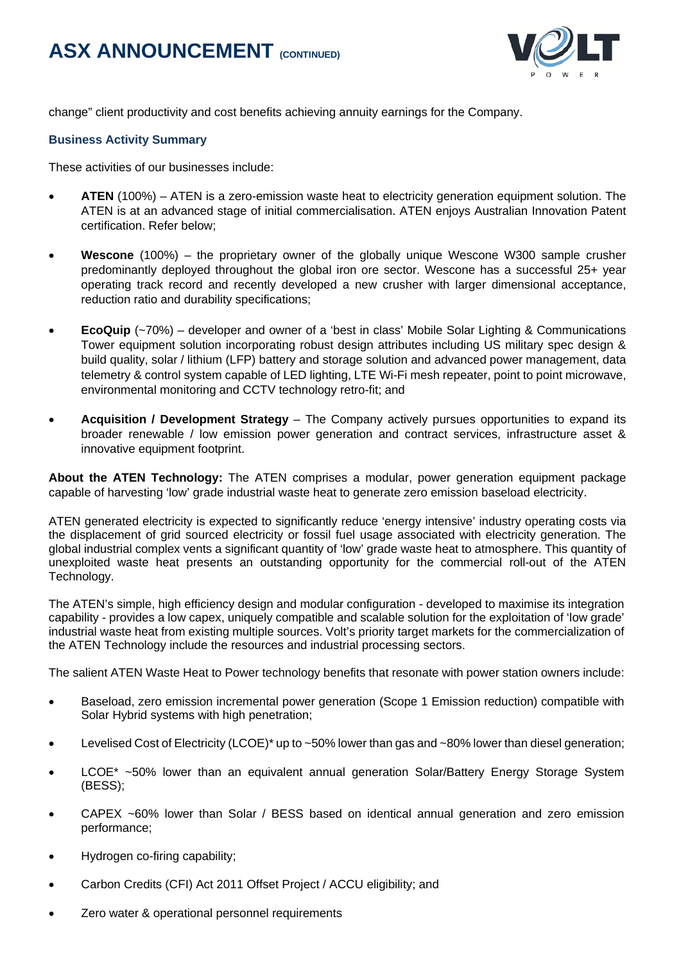

change" client productivity and cost benefits achieving annuity earnings for the Company.

#### **Business Activity Summary**

These activities of our businesses include:

- **ATEN** (100%) ATEN is a zero-emission waste heat to electricity generation equipment solution. The ATEN is at an advanced stage of initial commercialisation. ATEN enjoys Australian Innovation Patent certification. Refer below;
- **Wescone** (100%) the proprietary owner of the globally unique Wescone W300 sample crusher predominantly deployed throughout the global iron ore sector. Wescone has a successful 25+ year operating track record and recently developed a new crusher with larger dimensional acceptance, reduction ratio and durability specifications;
- **EcoQuip** (~70%) developer and owner of a 'best in class' Mobile Solar Lighting & Communications Tower equipment solution incorporating robust design attributes including US military spec design & build quality, solar / lithium (LFP) battery and storage solution and advanced power management, data telemetry & control system capable of LED lighting, LTE Wi-Fi mesh repeater, point to point microwave, environmental monitoring and CCTV technology retro-fit; and
- **Acquisition / Development Strategy** The Company actively pursues opportunities to expand its broader renewable / low emission power generation and contract services, infrastructure asset & innovative equipment footprint.

**About the ATEN Technology:** The ATEN comprises a modular, power generation equipment package capable of harvesting 'low' grade industrial waste heat to generate zero emission baseload electricity.

ATEN generated electricity is expected to significantly reduce 'energy intensive' industry operating costs via the displacement of grid sourced electricity or fossil fuel usage associated with electricity generation. The global industrial complex vents a significant quantity of 'low' grade waste heat to atmosphere. This quantity of unexploited waste heat presents an outstanding opportunity for the commercial roll-out of the ATEN Technology.

The ATEN's simple, high efficiency design and modular configuration - developed to maximise its integration capability - provides a low capex, uniquely compatible and scalable solution for the exploitation of 'low grade' industrial waste heat from existing multiple sources. Volt's priority target markets for the commercialization of the ATEN Technology include the resources and industrial processing sectors.

The salient ATEN Waste Heat to Power technology benefits that resonate with power station owners include:

- Baseload, zero emission incremental power generation (Scope 1 Emission reduction) compatible with Solar Hybrid systems with high penetration;
- Levelised Cost of Electricity (LCOE)\* up to ~50% lower than gas and ~80% lower than diesel generation;
- LCOE\* ~50% lower than an equivalent annual generation Solar/Battery Energy Storage System (BESS);
- CAPEX ~60% lower than Solar / BESS based on identical annual generation and zero emission performance;
- Hydrogen co-firing capability;
- Carbon Credits (CFI) Act 2011 Offset Project / ACCU eligibility; and
- Zero water & operational personnel requirements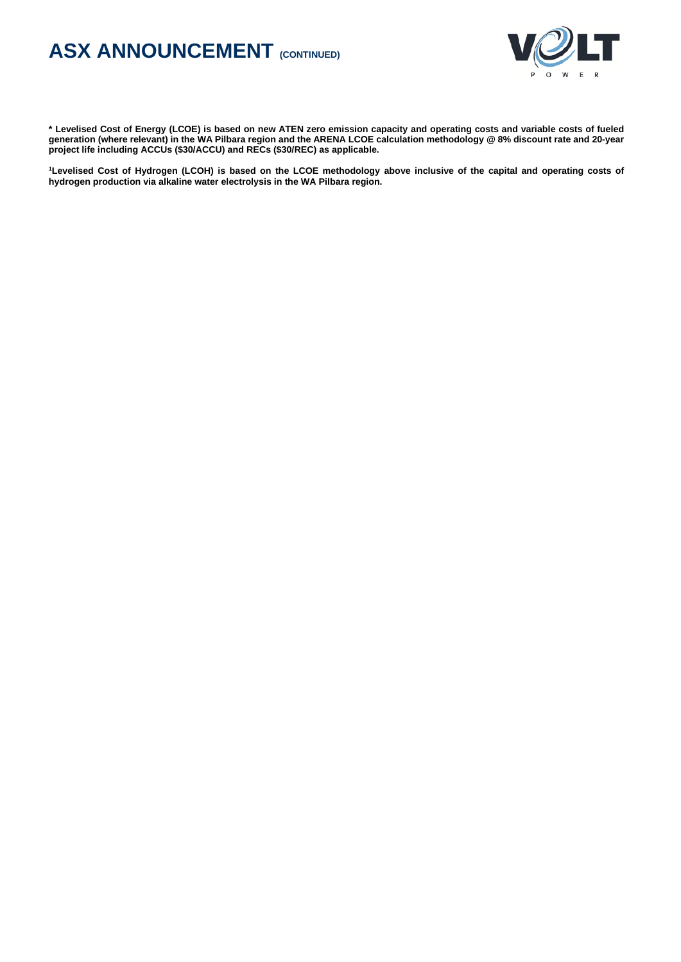

**\* Levelised Cost of Energy (LCOE) is based on new ATEN zero emission capacity and operating costs and variable costs of fueled generation (where relevant) in the WA Pilbara region and the ARENA LCOE calculation methodology @ 8% discount rate and 20-year project life including ACCUs (\$30/ACCU) and RECs (\$30/REC) as applicable.**

**1 Levelised Cost of Hydrogen (LCOH) is based on the LCOE methodology above inclusive of the capital and operating costs of hydrogen production via alkaline water electrolysis in the WA Pilbara region.**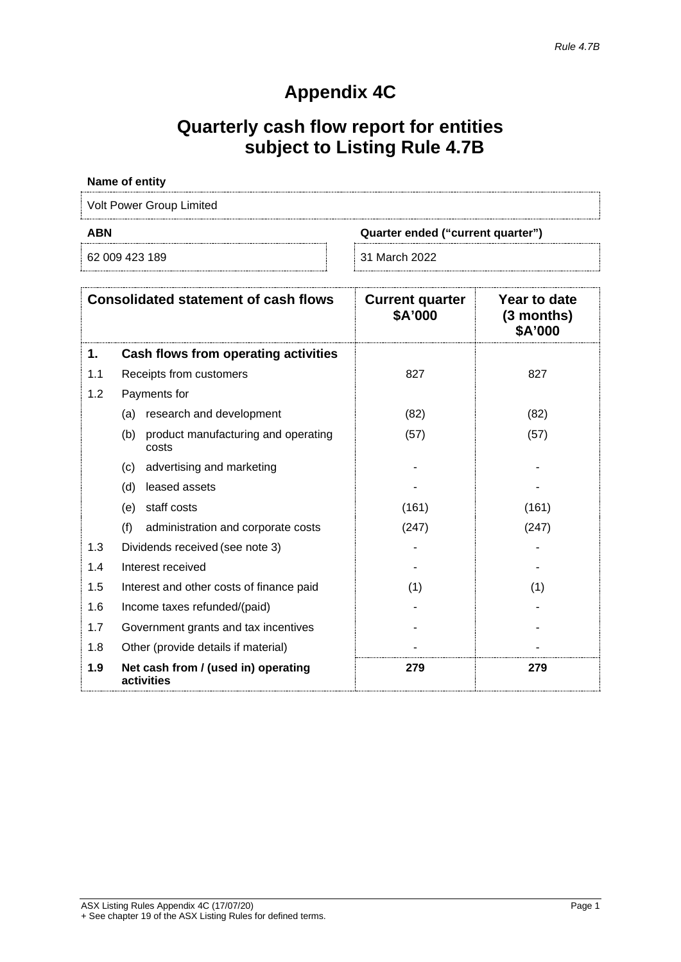### **Appendix 4C**

## **Quarterly cash flow report for entities subject to Listing Rule 4.7B**

#### **Name of entity**

Volt Power Group Limited

62 009 423 189 31 March 2022

**ABN Quarter ended ("current quarter")**

|     | <b>Consolidated statement of cash flows</b>         | <b>Current quarter</b><br>\$A'000 | Year to date<br>$(3$ months)<br>\$A'000 |
|-----|-----------------------------------------------------|-----------------------------------|-----------------------------------------|
| 1.  | Cash flows from operating activities                |                                   |                                         |
| 1.1 | Receipts from customers                             | 827                               | 827                                     |
| 1.2 | Payments for                                        |                                   |                                         |
|     | research and development<br>(a)                     | (82)                              | (82)                                    |
|     | product manufacturing and operating<br>(b)<br>costs | (57)                              | (57)                                    |
|     | advertising and marketing<br>(c)                    |                                   |                                         |
|     | leased assets<br>(d)                                |                                   |                                         |
|     | staff costs<br>(e)                                  | (161)                             | (161)                                   |
|     | (f)<br>administration and corporate costs           | (247)                             | (247)                                   |
| 1.3 | Dividends received (see note 3)                     |                                   |                                         |
| 1.4 | Interest received                                   |                                   |                                         |
| 1.5 | Interest and other costs of finance paid            | (1)                               | (1)                                     |
| 1.6 | Income taxes refunded/(paid)                        |                                   |                                         |
| 1.7 | Government grants and tax incentives                |                                   |                                         |
| 1.8 | Other (provide details if material)                 |                                   |                                         |
| 1.9 | Net cash from / (used in) operating<br>activities   | 279                               | 279                                     |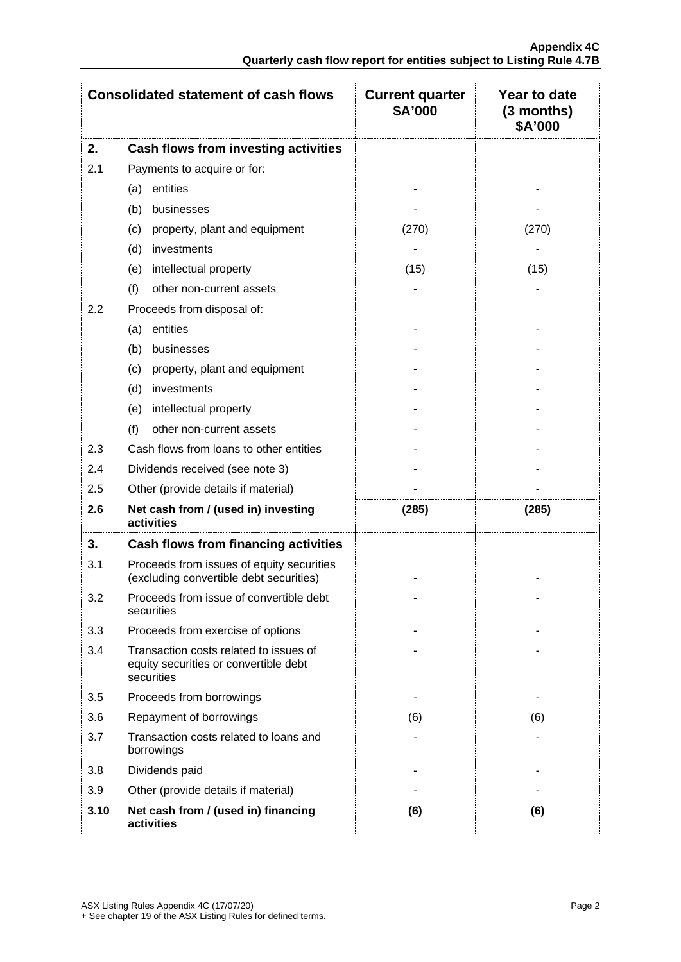|      | <b>Consolidated statement of cash flows</b>                                                   | <b>Current quarter</b><br>\$A'000 | Year to date<br>$(3$ months)<br>\$A'000 |
|------|-----------------------------------------------------------------------------------------------|-----------------------------------|-----------------------------------------|
| 2.   | <b>Cash flows from investing activities</b>                                                   |                                   |                                         |
| 2.1  | Payments to acquire or for:                                                                   |                                   |                                         |
|      | entities<br>(a)                                                                               |                                   |                                         |
|      | businesses<br>(b)                                                                             |                                   |                                         |
|      | property, plant and equipment<br>(c)                                                          | (270)                             | (270)                                   |
|      | (d)<br>investments                                                                            |                                   |                                         |
|      | intellectual property<br>(e)                                                                  | (15)                              | (15)                                    |
|      | (f)<br>other non-current assets                                                               |                                   |                                         |
| 2.2  | Proceeds from disposal of:                                                                    |                                   |                                         |
|      | entities<br>(a)                                                                               |                                   |                                         |
|      | (b)<br>businesses                                                                             |                                   |                                         |
|      | property, plant and equipment<br>(c)                                                          |                                   |                                         |
|      | (d)<br>investments                                                                            |                                   |                                         |
|      | intellectual property<br>(e)                                                                  |                                   |                                         |
|      | (f)<br>other non-current assets                                                               |                                   |                                         |
| 2.3  | Cash flows from loans to other entities                                                       |                                   |                                         |
| 2.4  | Dividends received (see note 3)                                                               |                                   |                                         |
| 2.5  | Other (provide details if material)                                                           |                                   |                                         |
| 2.6  | Net cash from / (used in) investing<br>activities                                             | (285)                             | (285)                                   |
| 3.   | <b>Cash flows from financing activities</b>                                                   |                                   |                                         |
| 3.1  | Proceeds from issues of equity securities<br>(excluding convertible debt securities)          |                                   |                                         |
| 3.2  | Proceeds from issue of convertible debt<br>securities                                         |                                   |                                         |
| 3.3  | Proceeds from exercise of options                                                             |                                   |                                         |
| 3.4  | Transaction costs related to issues of<br>equity securities or convertible debt<br>securities |                                   |                                         |
| 3.5  | Proceeds from borrowings                                                                      |                                   |                                         |
| 3.6  | Repayment of borrowings                                                                       | (6)                               | (6)                                     |
| 3.7  | Transaction costs related to loans and<br>borrowings                                          |                                   |                                         |
| 3.8  | Dividends paid                                                                                |                                   |                                         |
| 3.9  | Other (provide details if material)                                                           |                                   |                                         |
| 3.10 | Net cash from / (used in) financing<br>activities                                             | (6)                               | (6)                                     |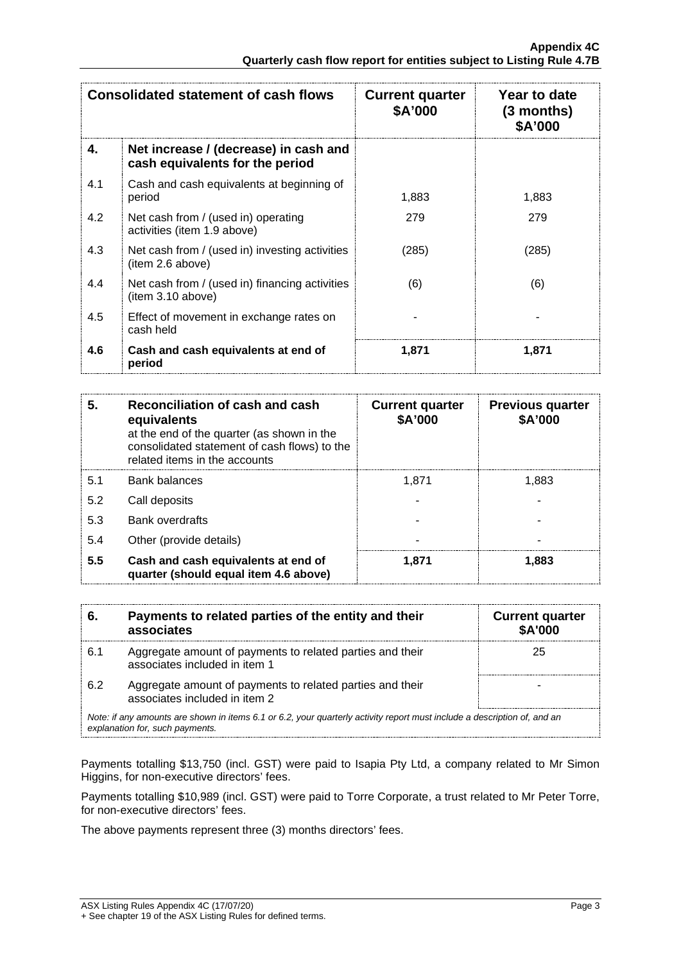| <b>Consolidated statement of cash flows</b> |                                                                          | <b>Current quarter</b><br>\$A'000 | Year to date<br>$(3$ months)<br>\$A'000 |
|---------------------------------------------|--------------------------------------------------------------------------|-----------------------------------|-----------------------------------------|
| 4.                                          | Net increase / (decrease) in cash and<br>cash equivalents for the period |                                   |                                         |
| 4.1                                         | Cash and cash equivalents at beginning of<br>period                      | 1,883                             | 1,883                                   |
| 4.2                                         | Net cash from / (used in) operating<br>activities (item 1.9 above)       | 279                               | 279                                     |
| 4.3                                         | Net cash from / (used in) investing activities<br>(item 2.6 above)       | (285)                             | (285)                                   |
| 4.4                                         | Net cash from / (used in) financing activities<br>(item 3.10 above)      | (6)                               | (6)                                     |
| 4.5                                         | Effect of movement in exchange rates on<br>cash held                     |                                   |                                         |
| 4.6                                         | Cash and cash equivalents at end of<br>period                            | 1,871                             | 1.871                                   |

| 5   | Reconciliation of cash and cash<br>equivalents<br>at the end of the quarter (as shown in the<br>consolidated statement of cash flows) to the<br>related items in the accounts | <b>Current quarter</b><br>\$A'000 | <b>Previous quarter</b><br>\$A'000 |
|-----|-------------------------------------------------------------------------------------------------------------------------------------------------------------------------------|-----------------------------------|------------------------------------|
| 5.1 | <b>Bank balances</b>                                                                                                                                                          | 1.871                             | 1.883                              |
| 5.2 | Call deposits                                                                                                                                                                 |                                   |                                    |
| 5.3 | <b>Bank overdrafts</b>                                                                                                                                                        |                                   |                                    |
| 5.4 | Other (provide details)                                                                                                                                                       |                                   |                                    |
| 5.5 | Cash and cash equivalents at end of<br>quarter (should equal item 4.6 above)                                                                                                  | 1.871                             | 1.883                              |

| 6.                                                                                                                                                          | Payments to related parties of the entity and their<br>associates                          | <b>Current quarter</b><br><b>\$A'000</b> |
|-------------------------------------------------------------------------------------------------------------------------------------------------------------|--------------------------------------------------------------------------------------------|------------------------------------------|
| 6.1                                                                                                                                                         | Aggregate amount of payments to related parties and their<br>associates included in item 1 | 25                                       |
| 6.2                                                                                                                                                         | Aggregate amount of payments to related parties and their<br>associates included in item 2 |                                          |
| Note: if any amounts are shown in items 6.1 or 6.2, your quarterly activity report must include a description of, and an<br>explanation for, such payments. |                                                                                            |                                          |

Payments totalling \$13,750 (incl. GST) were paid to Isapia Pty Ltd, a company related to Mr Simon Higgins, for non-executive directors' fees.

Payments totalling \$10,989 (incl. GST) were paid to Torre Corporate, a trust related to Mr Peter Torre, for non-executive directors' fees.

The above payments represent three (3) months directors' fees.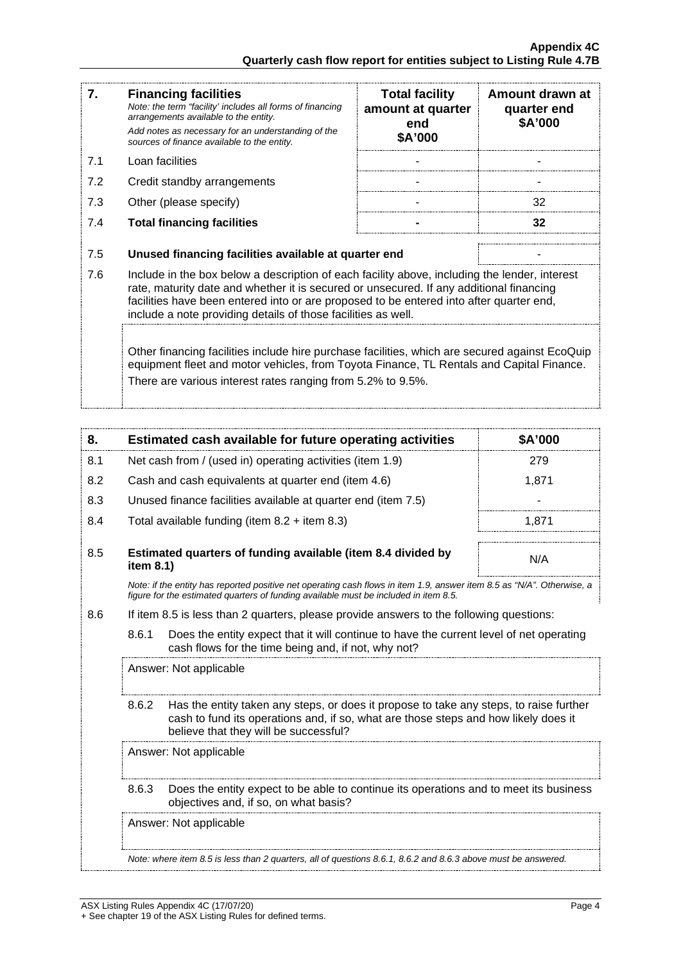| 7.                                                                                                                                                                                                                                                        | <b>Financing facilities</b><br>Note: the term "facility' includes all forms of financing<br>arrangements available to the entity.<br>Add notes as necessary for an understanding of the<br>sources of finance available to the entity.                                                                                                               | <b>Total facility</b><br>amount at quarter<br>end<br>\$A'000 | Amount drawn at<br>quarter end<br>\$A'000 |
|-----------------------------------------------------------------------------------------------------------------------------------------------------------------------------------------------------------------------------------------------------------|------------------------------------------------------------------------------------------------------------------------------------------------------------------------------------------------------------------------------------------------------------------------------------------------------------------------------------------------------|--------------------------------------------------------------|-------------------------------------------|
| 7.1                                                                                                                                                                                                                                                       | Loan facilities                                                                                                                                                                                                                                                                                                                                      |                                                              |                                           |
| 7.2                                                                                                                                                                                                                                                       | Credit standby arrangements                                                                                                                                                                                                                                                                                                                          |                                                              |                                           |
| 7.3                                                                                                                                                                                                                                                       | Other (please specify)                                                                                                                                                                                                                                                                                                                               |                                                              | 32                                        |
| 7.4                                                                                                                                                                                                                                                       | <b>Total financing facilities</b>                                                                                                                                                                                                                                                                                                                    |                                                              | 32                                        |
|                                                                                                                                                                                                                                                           |                                                                                                                                                                                                                                                                                                                                                      |                                                              |                                           |
| 7.5                                                                                                                                                                                                                                                       | Unused financing facilities available at quarter end                                                                                                                                                                                                                                                                                                 |                                                              |                                           |
| 7.6                                                                                                                                                                                                                                                       | Include in the box below a description of each facility above, including the lender, interest<br>rate, maturity date and whether it is secured or unsecured. If any additional financing<br>facilities have been entered into or are proposed to be entered into after quarter end,<br>include a note providing details of those facilities as well. |                                                              |                                           |
| Other financing facilities include hire purchase facilities, which are secured against EcoQuip<br>equipment fleet and motor vehicles, from Toyota Finance, TL Rentals and Capital Finance.<br>There are various interest rates ranging from 5.2% to 9.5%. |                                                                                                                                                                                                                                                                                                                                                      |                                                              |                                           |

| 8.                                                                                                                       | Estimated cash available for future operating activities                     | \$A'000 |
|--------------------------------------------------------------------------------------------------------------------------|------------------------------------------------------------------------------|---------|
| 8.1                                                                                                                      | Net cash from / (used in) operating activities (item 1.9)                    | 279     |
| 8.2                                                                                                                      | Cash and cash equivalents at quarter end (item 4.6)                          | 1.871   |
| 8.3                                                                                                                      | Unused finance facilities available at quarter end (item 7.5)                |         |
| 8.4                                                                                                                      | Total available funding (item $8.2 +$ item $8.3$ )                           | 1.871   |
|                                                                                                                          |                                                                              |         |
| 8.5                                                                                                                      | Estimated quarters of funding available (item 8.4 divided by<br>item $8.1$ ) | N/A     |
| Note: if the entity has reported positive net operating cash flows in item 1.0, answer item $8.5$ as "N/A". Otherwise, a |                                                                              |         |

*Note: if the entity has reported positive net operating cash flows in item 1.9, answer item 8.5 as "N/A". Otherwise, a figure for the estimated quarters of funding available must be included in item 8.5.*

- 8.6 If item 8.5 is less than 2 quarters, please provide answers to the following questions:
	- 8.6.1 Does the entity expect that it will continue to have the current level of net operating cash flows for the time being and, if not, why not?

Answer: Not applicable

- 1

8.6.2 Has the entity taken any steps, or does it propose to take any steps, to raise further cash to fund its operations and, if so, what are those steps and how likely does it believe that they will be successful?

Answer: Not applicable

8.6.3 Does the entity expect to be able to continue its operations and to meet its business objectives and, if so, on what basis?

Answer: Not applicable

*Note: where item 8.5 is less than 2 quarters, all of questions 8.6.1, 8.6.2 and 8.6.3 above must be answered.*